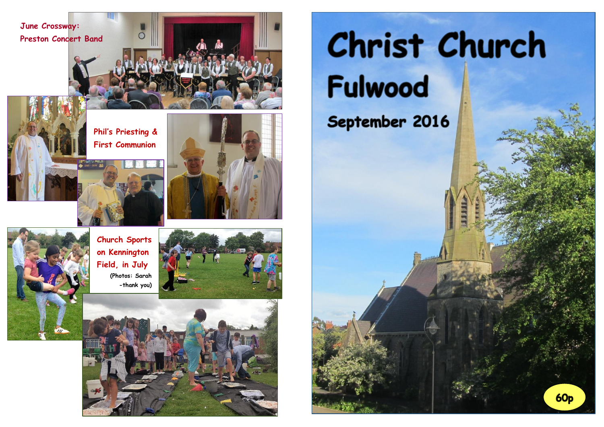

# Christ Church Fulwood

# September 2016

**60p**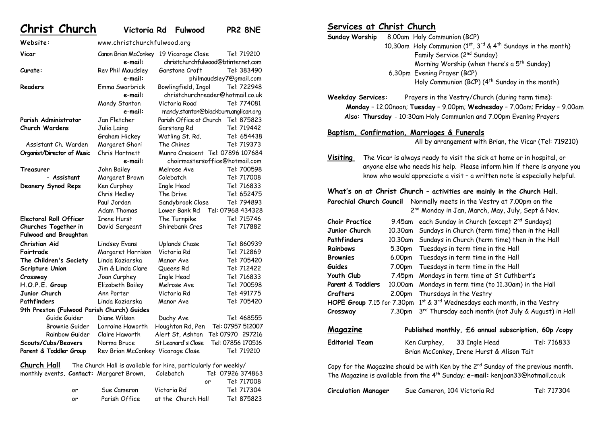**Website:** www.christchurchfulwood.org

**Christ Church Victoria Rd Fulwood PR2 8NE**

**Vicar** Canon Brian McConkey 19 Vicarage Close Tel: 719210 **e**-**mail:** christchurchfulwood@btinternet.com **Curate:** Rev Phil Maudsley Garstone Croft Tel: 383490 **e**-**mail:** philmaudsley7@gmail.com **Readers** Emma Swarbrick Bowlingfield, Ingol Tel: 722948 **e**-**mail:** [christchurchreader@hotmail.co.uk](mailto:christchurchreader@hotmail.co.uk) Mandy Stanton Victoria Road Tel: 774081 **e**-**mail:** mandy.stanton@blackburn.anglican.org **Parish Administrator** Jan Fletcher Parish Office at Church Tel: 875823 **Church Wardens** Julia Laing Garstang Rd Tel: 719442 Graham Hickey Watling St. Rd. Tel: 654438 Assistant Ch. Warden Margaret Ghori The Chines Tel: 719373 **Organist/Director of Music** Chris Hartnett Munro Crescent Tel: 07896 107684 **e**-**mail:** [choirmastersoffice@hotmail.com](mailto:choirmastersoffice@hotmail.com) **Treasurer** John Bailey Melrose Ave Tel: 700598 **- Assistant** Margaret Brown Colebatch Tel: 717008 **Deanery Synod Reps** Ken Curphey Ingle Head Tel: 716833 Chris Hedley The Drive Tel: 652475 Paul Jordan Sandybrook Close Tel: 794893 Adam Thomas Lower Bank Rd Tel: 07968 434328 **Electoral Roll Officer** Irene Hurst The Turnpike Tel: 715746 **Churches Together in** David Sergeant Shirebank Cres Tel: 717882 **Fulwood and Broughton Christian Aid** Lindsey Evans Uplands Chase Tel: 860939 **Fairtrade** Margaret Harrison Victoria Rd Tel: 712869 **The Children's Society** Linda Koziarska Manor Ave Tel: 705420 **Scripture Union** Jim & Linda Clare Queens Rd Tel: 712422 **Crossway** Joan Curphey Ingle Head Tel: 716833 **H.O.P.E. Group** Elizabeth Bailey Melrose Ave Tel: 700598 **Junior Church** Ann Porter Victoria Rd Tel: 491775 **Pathfinders** Linda Koziarska Manor Ave Tel: 705420 **9th Preston (Fulwood Parish Church) Guides** Guide Guider Diane Wilson Duchy Ave Tel: 468555 Brownie Guider Lorraine Haworth Houghton Rd, Pen Tel: 07957 512007 Rainbow Guider Claire Haworth Alert St, Ashton Tel: 07970 297216 **Scouts/Cubs/Beavers** Norma Bruce St Leonard's Close Tel: 07856 170516 Parent & Toddler Group Rev Brian McConkey Vicarage Close Tel: 719210

**Church Hall** The Church Hall is available for hire, particularly for weekly/

|    | monthly events. <b>Contact:</b> Margaret Brown, | Colebatch          |     | Tel: 07926 374863 |
|----|-------------------------------------------------|--------------------|-----|-------------------|
|    |                                                 |                    | 0r. | Tel: 717008       |
| or | Sue Cameron                                     | Victoria Rd        |     | Tel: 717304       |
| or | Parish Office                                   | at the Church Hall |     | Tel: 875823       |

#### **Services at Christ Church**

**Sunday Worship** 8.00am Holy Communion (BCP) 10.30am Holy Communion  $(1^{st}, 3^{rd} \& 4^{th}$  Sundays in the month) Family Service (2nd Sunday) Morning Worship (when there's a  $5<sup>th</sup>$  Sunday) 6.30pm Evening Prayer (BCP) Holy Communion (BCP)  $(4^{th}$  Sunday in the month)

**Weekday Services:** Prayers in the Vestry/Church (during term time): **Monday** – 12.00noon; **Tuesday** – 9.00pm; **Wednesday** – 7.00am; **Friday** – 9.00am  **Also: Thursday** - 10:30am Holy Communion and 7.00pm Evening Prayers

#### **Baptism, Confirmation, Marriages & Funerals**

All by arrangement with Brian, the Vicar (Tel: 719210)

**Visiting** The Vicar is always ready to visit the sick at home or in hospital, or anyone else who needs his help. Please inform him if there is anyone you know who would appreciate a visit – a written note is especially helpful.

#### **What's on at Christ Church – activities are mainly in the Church Hall.**

| Parochial Church Council<br>Normally meets in the Vestry at 7.00pm on the                                                                                                                   |         |                                                        |  |  |
|---------------------------------------------------------------------------------------------------------------------------------------------------------------------------------------------|---------|--------------------------------------------------------|--|--|
| 2 <sup>nd</sup> Monday in Jan, March, May, July, Sept & Nov.                                                                                                                                |         |                                                        |  |  |
| <b>Choir Practice</b>                                                                                                                                                                       | 9.45am  | each Sunday in Church (except 2 <sup>nd</sup> Sundays) |  |  |
| Junior Church                                                                                                                                                                               | 10.30am | Sundays in Church (term time) then in the Hall         |  |  |
| Pathfinders                                                                                                                                                                                 | 10.30am | Sundays in Church (term time) then in the Hall         |  |  |
| <b>Rainbows</b>                                                                                                                                                                             | 5.30pm  | Tuesdays in term time in the Hall                      |  |  |
| Brownies                                                                                                                                                                                    | 6.00pm  | Tuesdays in term time in the Hall                      |  |  |
| Guides                                                                                                                                                                                      | 7.00pm  | Tuesdays in term time in the Hall                      |  |  |
| Youth Club                                                                                                                                                                                  | 7.45pm  | Mondays in term time at St Cuthbert's                  |  |  |
| Parent & Toddlers                                                                                                                                                                           | 10.00am | Mondays in term time (to 11.30am) in the Hall          |  |  |
| Crafters                                                                                                                                                                                    | 2.00pm  | Thursdays in the Vestry                                |  |  |
| HOPE Group 7.15 for 7.30pm                                                                                                                                                                  |         | 1st & 3rd Wednesdays each month, in the Vestry         |  |  |
| Crossway                                                                                                                                                                                    | 7.30pm  | 3rd Thursday each month (not July & August) in Hall    |  |  |
| Magazine<br>Published monthly, £6 annual subscription, 60p /copy                                                                                                                            |         |                                                        |  |  |
| <b>Editorial Team</b>                                                                                                                                                                       |         | Tel: 716833<br>Ken Curphey, 33 Ingle Head              |  |  |
|                                                                                                                                                                                             |         | Brian McConkey, Irene Hurst & Alison Tait              |  |  |
| Copy for the Magazine should be with Ken by the 2 <sup>nd</sup> Sunday of the previous month.<br>The Magazine is available from the 4 <sup>th</sup> Sunday; e-mail: kenjoan33@hotmail.co.uk |         |                                                        |  |  |

| <b>Circulation Manager</b> | Sue Cameron, 104 Victoria Rd | Tel: 717304 |
|----------------------------|------------------------------|-------------|
|----------------------------|------------------------------|-------------|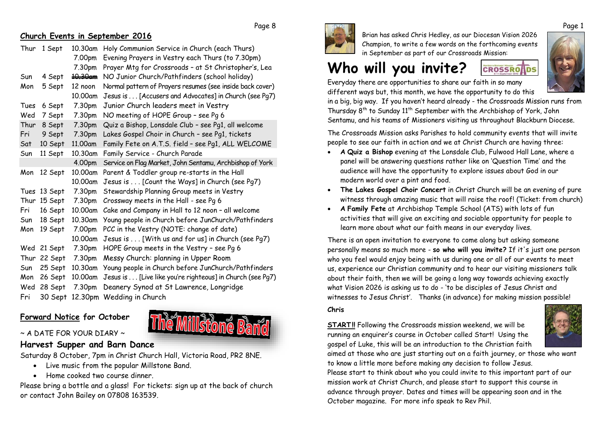**Church Events in September 2016**

| Thur | 1 Sept       | 10.30am            | Holy Communion Service in Church (each Thurs)             |
|------|--------------|--------------------|-----------------------------------------------------------|
|      |              | 7.00pm             | Evening Prayers in Vestry each Thurs (to 7.30pm)          |
|      |              | 7.30pm             | Prayer Mtg for Crossroads - at St Christopher's, Lea      |
| Sun  | 4 Sept       | <del>10.30am</del> | NO Junior Church/Pathfinders (school holiday)             |
| Mon  | 5 Sept       | 12 noon            | Normal pattern of Prayers resumes (see inside back cover) |
|      |              | 10.00am            | Jesus is [Accusers and Advocates] in Church (see Pq7)     |
| Tues | 6 Sept       | 7.30pm             | Junior Church leaders meet in Vestry                      |
| Wed  | 7 Sept       | 7.30pm             | NO meeting of HOPE Group - see Pg 6                       |
| Thur | 8 Sept       | 7.30pm             | Quiz a Bishop, Lonsdale Club - see Pg1, all welcome       |
| Fri  | 9 Sept       | 7.30pm             | Lakes Gospel Choir in Church - see Pg1, tickets           |
| Sat  | 10 Sept      | 11.00am            | Family Fete on A.T.S. field - see Pg1, ALL WELCOME        |
| Sun  | 11 Sept      | 10.30am            | Family Service - Church Parade                            |
|      |              | 4.00pm             | Service on Flag Market, John Sentamu, Archbishop of York  |
| Mon  | 12 Sept      | 10.00am            | Parent & Toddler group re-starts in the Hall              |
|      |              | 10.00am            | Jesus is [Count the Ways] in Church (see Pg7)             |
|      | Tues 13 Sept | 7.30pm             | Stewardship Planning Group meets in Vestry                |
|      | Thur 15 Sept | 7.30pm             | Crossway meets in the Hall - see Pq 6                     |
| Fri  | 16 Sept      | 10.00am            | Cake and Company in Hall to 12 noon - all welcome         |
| Sun  | 18 Sept      | 10.30am            | Young people in Church before JunChurch/Pathfinders       |
| Mon  | 19 Sept      | 7.00pm             | PCC in the Vestry (NOTE: change of date)                  |
|      |              | 10.00am            | Jesus is [With us and for us] in Church (see Pg7)         |
|      | Wed 21 Sept  | 7.30pm             | HOPE Group meets in the Vestry - see Pg 6                 |
|      | Thur 22 Sept | 7.30pm             | Messy Church: planning in Upper Room                      |
| Sun  | 25 Sept      | 10.30am            | Young people in Church before JunChurch/Pathfinders       |
| Mon  | 26 Sept      | 10.00am            | Jesus is [Live like you're righteous] in Church (see Pq7) |
| Wed  | 28 Sept      | 7.30pm             | Deanery Synod at St Lawrence, Longridge                   |
| Fri  | 30 Sept      |                    | 12.30pm Wedding in Church                                 |
|      |              |                    |                                                           |

#### **Forward Notice for October**



#### $\sim$  A DATE FOR YOUR DIARY  $\sim$

### **Harvest Supper and Barn Dance**

Saturday 8 October, 7pm in Christ Church Hall, Victoria Road, PR2 8NE.

- Live music from the popular Millstone Band.
- x Home cooked two course dinner.

Please bring a bottle and a glass! For tickets: sign up at the back of church or contact John Bailey on 07808 163539.



Page 8

Brian has asked Chris Hedley, as our Diocesan Vision 2026 Champion, to write a few words on the forthcoming events in September as part of our Crossroads Mission:

# **Who will you invite?**



**CROSSROHDS** 

Everyday there are opportunities to share our faith in so many different ways but, this month, we have the opportunity to do this

in a big, big way. If you haven't heard already - the Crossroads Mission runs from Thursday 8th to Sunday 11th September with the Archbishop of York, John Sentamu, and his teams of Missioners visiting us throughout Blackburn Diocese.

The Crossroads Mission asks Parishes to hold community events that will invite people to see our faith in action and we at Christ Church are having three:

- x **A Quiz a Bishop** evening at the Lonsdale Club, Fulwood Hall Lane, where a panel will be answering questions rather like on 'Question Time' and the audience will have the opportunity to explore issues about God in our modern world over a pint and food.
- x **The Lakes Gospel Choir Concert** in Christ Church will be an evening of pure witness through amazing music that will raise the roof! (Ticket: from church)
- x **A Family Fete** at Archbishop Temple School (ATS) with lots of fun activities that will give an exciting and sociable opportunity for people to learn more about what our faith means in our everyday lives.

There is an open invitation to everyone to come along but asking someone personally means so much more - **so who will you invite?** If it's just one person who you feel would enjoy being with us during one or all of our events to meet us, experience our Christian community and to hear our visiting missioners talk about their faith, then we will be going a long way towards achieving exactly what Vision 2026 is asking us to do - 'to be disciples of Jesus Christ and witnesses to Jesus Christ'. Thanks (in advance) for making mission possible!

#### **Chris**

**START!!** Following the Crossroads mission weekend, we will be running an enquirer's course in October called Start! Using the gospel of Luke, this will be an introduction to the Christian faith



aimed at those who are just starting out on a faith journey, or those who want to know a little more before making any decision to follow Jesus.

Please start to think about who you could invite to this important part of our mission work at Christ Church, and please start to support this course in advance through prayer. Dates and times will be appearing soon and in the October magazine. For more info speak to Rev Phil.

Page 1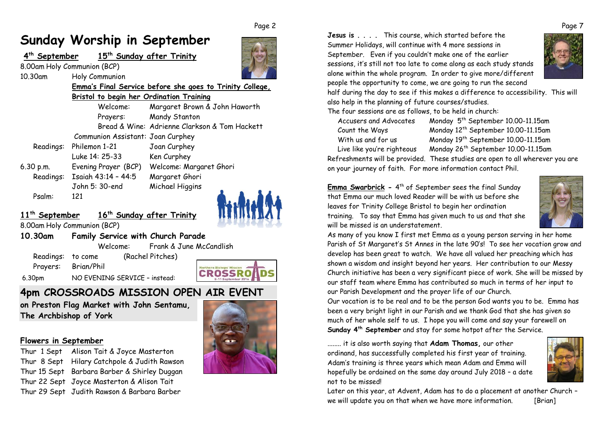#### Page 2

## **Sunday Worship in September**

|           | September 15 <sup>th</sup> Sunday after Trinity |                                                          |
|-----------|-------------------------------------------------|----------------------------------------------------------|
|           | 8.00am Holy Communion (BCP)                     |                                                          |
| 10.30am   | Holy Communion                                  |                                                          |
|           |                                                 | Emma's Final Service before she goes to Trinity College, |
|           | Bristol to begin her Ordination Training        |                                                          |
|           | Welcome:                                        | Margaret Brown & John Haworth                            |
|           | Prayers:                                        | Mandy Stanton                                            |
|           |                                                 | Bread & Wine: Adrienne Clarkson & Tom Hackett            |
|           | Communion Assistant: Joan Curphey               |                                                          |
|           | Readings: Philemon 1-21                         | Joan Curphey                                             |
|           | Luke 14: 25-33                                  | Ken Curphey                                              |
| 6.30 p.m. | Evening Prayer (BCP)                            | Welcome: Margaret Ghori                                  |
|           | Readings: Isaiah 43:14 - 44:5                   | Margaret Ghori                                           |
|           | John 5: 30-end                                  | Michael Higgins                                          |
| Psalm:    | 121                                             |                                                          |



### **11th September 16th Sunday after Trinity**

8.00am Holy Communion (BCP)

#### **10.30am Family Service with Church Parade**

Welcome: Frank & June McCandlish

 Readings: to come (Rachel Pitches) Prayers: Brian/Phil 6.30pm NO EVENING SERVICE – instead:

**4pm CROSSROADS MISSION OPEN AIR EVENT**

**on Preston Flag Market with John Sentamu, The Archbishop of York**

#### **Flowers in September**

Thur 1 Sept Alison Tait & Joyce Masterton Thur 8 Sept Hilary Catchpole & Judith Rawson Thur 15 Sept Barbara Barber & Shirley Duggan Thur 22 Sept Joyce Masterton & Alison Tait Thur 29 Sept Judith Rawson & Barbara Barber



**CROSSRO** 

**Jesus is** This course, which started before the Summer Holidays, will continue with 4 more sessions in September.Even if you couldn't make one of the earlier sessions, it's still not too late to come along as each study stands alone within the whole program. In order to give more/different people the opportunity to come, we are going to run the second



half during the day to see if this makes a difference to accessibility. This will also help in the planning of future courses/studies.

The four sessions are as follows, to be held in church:

Accusers and Advocates Monday 5th September 10.00-11.15am Count the Ways Monday 12<sup>th</sup> September 10.00-11.15am With us and for us Monday 19<sup>th</sup> September 10.00-11.15am Live like you're righteous Monday 26<sup>th</sup> September 10.00-11.15am

Refreshments will be provided. These studies are open to all wherever you are on your journey of faith. For more information contact Phil.

**Emma Swarbrick -** 4<sup>th</sup> of September sees the final Sunday that Emma our much loved Reader will be with us before she leaves for Trinity College Bristol to begin her ordination training.To say that Emma has given much to us and that she will be missed is an understatement.



As many of you know I first met Emma as a young person serving in her home Parish of St Margaret's St Annes in the late 90's! To see her vocation grow and develop has been great to watch. We have all valued her preaching which has shown a wisdom and insight beyond her years. Her contribution to our Messy Church initiative has been a very significant piece of work. She will be missed by our staff team where Emma has contributed so much in terms of her input to our Parish Development and the prayer life of our Church.

Our vocation is to be real and to be the person God wants you to be. Emma has been a very bright light in our Parish and we thank God that she has given so much of her whole self to us. I hope you will come and say your farewell on **Sunday 4th September** and stay for some hotpot after the Service.

........ it is also worth saying that **Adam Thomas,** our other ordinand, has successfully completed his first year of training. Adam's training is three years which mean Adam and Emma will hopefully be ordained on the same day around July 2018 – a date not to be missed!



Later on this year, at Advent, Adam has to do a placement at another Church – we will update you on that when we have more information. [Brian]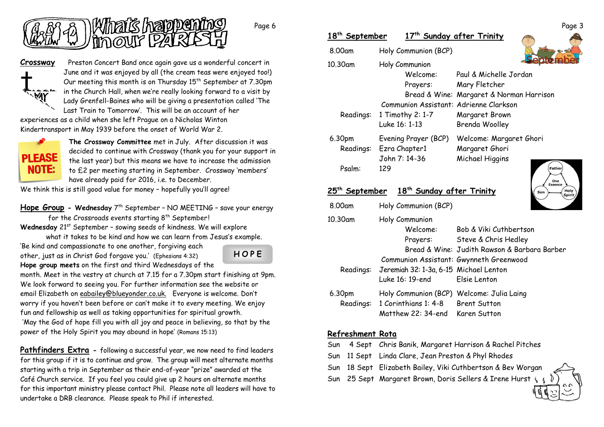

**Crossway** Preston Concert Band once again gave us a wonderful concert in June and it was enjoyed by all (the cream teas were enjoyed too!) Our meeting this month is on Thursday 15<sup>th</sup> September at 7.30pm in the Church Hall, when we're really looking forward to a visit by Lady Grenfell-Baines who will be giving a presentation called 'The Last Train to Tomorrow'. This will be an account of her

experiences as a child when she left Prague on a Nicholas Winton Kindertransport in May 1939 before the onset of World War 2.



**The Crossway Committee** met in July. After discussion it was decided to continue with Crossway (thank you for your support in the last year) but this means we have to increase the admission to £2 per meeting starting in September. Crossway 'members' have already paid for 2016, i.e. to December.

We think this is still good value for money - hopefully you'll agree!

**Hope Group - Wednesday** 7th September – NO MEETING – save your energy for the Crossroads events starting 8<sup>th</sup> September!

Wednesday 21<sup>st</sup> September - sowing seeds of kindness. We will explore what it takes to be kind and how we can learn from Jesus's example.

'Be kind and compassionate to one another, forgiving each other, just as in Christ God forgave you.' (Ephesians 4:32)

**H O P E**

Page 6

**Hope group meets** on the first and third Wednesdays of the month. Meet in the vestry at church at 7.15 for a 7.30pm start finishing at 9pm. We look forward to seeing you. For further information see the website or email Elizabeth on [eabailey@blueyonder.co.uk.](mailto:eabailey@blueyonder.co.uk) Everyone is welcome. Don't worry if you haven't been before or can't make it to every meeting. We enjoy fun and fellowship as well as taking opportunities for spiritual growth. 'May the God of hope fill you with all joy and peace in believing, so that by the power of the Holy Spirit you may abound in hope' (Romans 15:13)

**Pathfinders Extra -** following a successful year, we now need to find leaders for this group if it is to continue and grow. The group will meet alternate months starting with a trip in September as their end-of-year "prize" awarded at the Café Church service. If you feel you could give up 2 hours on alternate months for this important ministry please contact Phil. Please note all leaders will have to undertake a DRB clearance. Please speak to Phil if interested.

|                                                                                                |                                        |                                          | rage o |
|------------------------------------------------------------------------------------------------|----------------------------------------|------------------------------------------|--------|
| 18 <sup>th</sup> September                                                                     |                                        | 17 <sup>th</sup> Sunday after Trinity    |        |
| 8.00am                                                                                         | Holy Communion (BCP)                   |                                          |        |
| 10.30am                                                                                        | Holy Communion                         |                                          |        |
|                                                                                                | Welcome:                               | Paul & Michelle Jordan                   |        |
|                                                                                                | Prayers:                               | Mary Fletcher                            |        |
|                                                                                                |                                        | Bread & Wine: Margaret & Norman Harrison |        |
|                                                                                                | Communion Assistant: Adrienne Clarkson |                                          |        |
| Readings:                                                                                      | 1 Timothy 2: 1-7                       | Margaret Brown                           |        |
|                                                                                                | Luke 16: 1-13                          | Brenda Woolley                           |        |
| 6.30pm                                                                                         | Evening Prayer (BCP)                   | Welcome: Margaret Ghori                  |        |
| Readings:                                                                                      | Ezra Chapter1                          | Margaret Ghori                           |        |
|                                                                                                | John 7: 14-36                          | Michael Higgins                          |        |
| Psalm:                                                                                         | 129                                    | Father                                   |        |
|                                                                                                |                                        | One<br><b>Essence</b>                    |        |
| 18 <sup>th</sup> Sunday after Trinity<br>September<br>25 <sup>rn</sup><br>Holy<br>Son<br>Sniri |                                        |                                          |        |

|           |                                                                                                   | ---<br>Spi                                                                                     |
|-----------|---------------------------------------------------------------------------------------------------|------------------------------------------------------------------------------------------------|
| 8.00am    | Holy Communion (BCP)                                                                              |                                                                                                |
| 10.30am   | Holy Communion<br>Welcome:<br>Prayers:<br>Communion Assistant: Gwynneth Greenwood                 | Bob & Viki Cuthbertson<br>Steve & Chris Hedley<br>Bread & Wine: Judith Rawson & Barbara Barber |
| Readings: | Jeremiah 32: 1-3a, 6-15 Michael Lenton<br>Luke 16: 19-end                                         | Elsie Lenton                                                                                   |
| 6.30pm    | Holy Communion (BCP) Welcome: Julia Laing<br>Readings: 1 Corinthians 1: 4-8<br>Matthew 22: 34-end | <b>Brent Sutton</b><br>Karen Sutton                                                            |

#### **Refreshment Rota**

- Sun 4 Sept Chris Banik, Margaret Harrison & Rachel Pitches
- Sun 11 Sept Linda Clare, Jean Preston & Phyl Rhodes
- Sun 18 Sept Elizabeth Bailey, Viki Cuthbertson & Bev Worgan
- Sun 25 Sept Margaret Brown, Doris Sellers & Irene Hurst &

Page 3